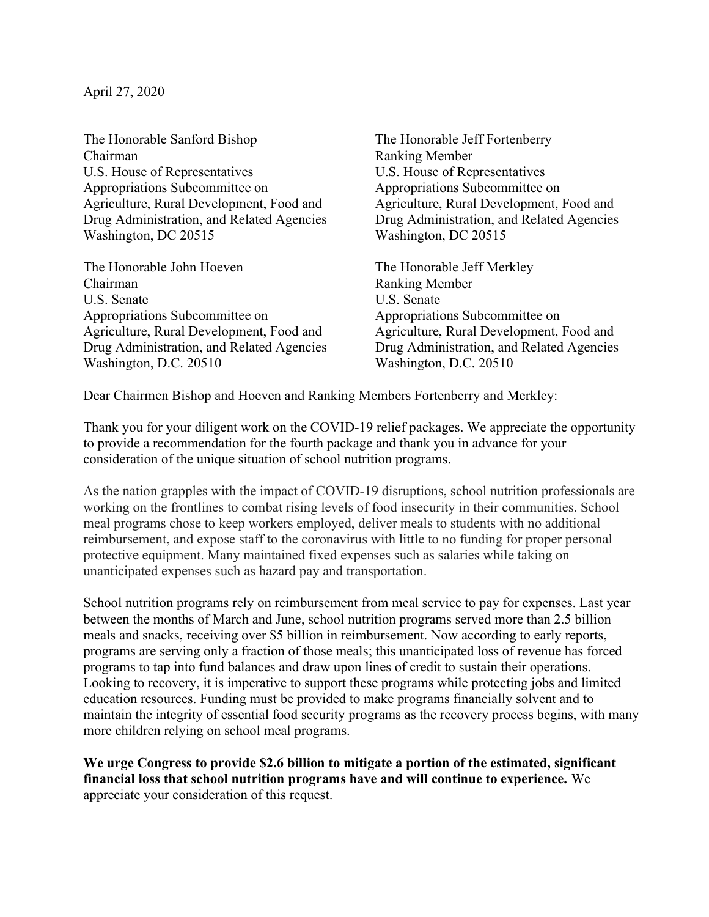April 27, 2020

The Honorable Sanford Bishop Chairman U.S. House of Representatives Appropriations Subcommittee on Agriculture, Rural Development, Food and Drug Administration, and Related Agencies Washington, DC 20515

The Honorable John Hoeven Chairman U.S. Senate Appropriations Subcommittee on Agriculture, Rural Development, Food and Drug Administration, and Related Agencies Washington, D.C. 20510

The Honorable Jeff Fortenberry Ranking Member U.S. House of Representatives Appropriations Subcommittee on Agriculture, Rural Development, Food and Drug Administration, and Related Agencies Washington, DC 20515

The Honorable Jeff Merkley Ranking Member U.S. Senate Appropriations Subcommittee on Agriculture, Rural Development, Food and Drug Administration, and Related Agencies Washington, D.C. 20510

Dear Chairmen Bishop and Hoeven and Ranking Members Fortenberry and Merkley:

Thank you for your diligent work on the COVID-19 relief packages. We appreciate the opportunity to provide a recommendation for the fourth package and thank you in advance for your consideration of the unique situation of school nutrition programs.

As the nation grapples with the impact of COVID-19 disruptions, school nutrition professionals are working on the frontlines to combat rising levels of food insecurity in their communities. School meal programs chose to keep workers employed, deliver meals to students with no additional reimbursement, and expose staff to the coronavirus with little to no funding for proper personal protective equipment. Many maintained fixed expenses such as salaries while taking on unanticipated expenses such as hazard pay and transportation.

School nutrition programs rely on reimbursement from meal service to pay for expenses. Last year between the months of March and June, school nutrition programs served more than 2.5 billion meals and snacks, receiving over \$5 billion in reimbursement. Now according to early reports, programs are serving only a fraction of those meals; this unanticipated loss of revenue has forced programs to tap into fund balances and draw upon lines of credit to sustain their operations. Looking to recovery, it is imperative to support these programs while protecting jobs and limited education resources. Funding must be provided to make programs financially solvent and to maintain the integrity of essential food security programs as the recovery process begins, with many more children relying on school meal programs.

We urge Congress to provide \$2.6 billion to mitigate a portion of the estimated, significant financial loss that school nutrition programs have and will continue to experience. We appreciate your consideration of this request.